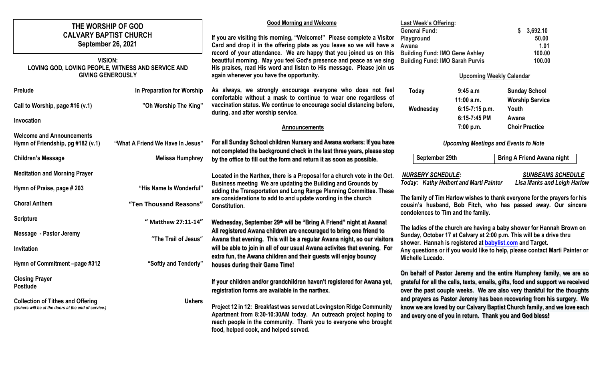| THE WORSHIP OF GOD<br><b>CALVARY BAPTIST CHURCH</b><br><b>September 26, 2021</b>                                  |                                  | <b>Good Morning and Welcome</b><br>If you are visiting this morning, "Welcome!" Please complete a Visitor<br>Card and drop it in the offering plate as you leave so we will have a                                                                            | <b>Last Week's Offering:</b><br><b>General Fund:</b><br>Playground<br>Awana                                                                                                                                                                                                                                                                                                                                                                       |                                | 3,692.10<br>S<br>50.00<br>1.01    |
|-------------------------------------------------------------------------------------------------------------------|----------------------------------|---------------------------------------------------------------------------------------------------------------------------------------------------------------------------------------------------------------------------------------------------------------|---------------------------------------------------------------------------------------------------------------------------------------------------------------------------------------------------------------------------------------------------------------------------------------------------------------------------------------------------------------------------------------------------------------------------------------------------|--------------------------------|-----------------------------------|
| <b>VISION:</b><br>LOVING GOD, LOVING PEOPLE, WITNESS AND SERVICE AND                                              |                                  | record of your attendance. We are happy that you joined us on this<br>beautiful morning. May you feel God's presence and peace as we sing<br>His praises, read His word and listen to His message. Please join us<br>again whenever you have the opportunity. | <b>Building Fund: IMO Gene Ashley</b><br><b>Building Fund: IMO Sarah Purvis</b>                                                                                                                                                                                                                                                                                                                                                                   |                                | 100.00<br>100.00                  |
| <b>GIVING GENEROUSLY</b>                                                                                          |                                  |                                                                                                                                                                                                                                                               | <b>Upcoming Weekly Calendar</b>                                                                                                                                                                                                                                                                                                                                                                                                                   |                                |                                   |
| <b>Prelude</b>                                                                                                    | In Preparation for Worship       | As always, we strongly encourage everyone who does not feel<br>comfortable without a mask to continue to wear one regardless of                                                                                                                               | Today                                                                                                                                                                                                                                                                                                                                                                                                                                             | 9:45 a.m                       | <b>Sunday School</b>              |
| Call to Worship, page #16 (v.1)                                                                                   | "Oh Worship The King"            | vaccination status. We continue to encourage social distancing before,<br>during, and after worship service.                                                                                                                                                  | Wednesday                                                                                                                                                                                                                                                                                                                                                                                                                                         | $11:00$ a.m.<br>6:15-7:15 p.m. | <b>Worship Service</b><br>Youth   |
| Invocation                                                                                                        |                                  |                                                                                                                                                                                                                                                               |                                                                                                                                                                                                                                                                                                                                                                                                                                                   | 6:15-7:45 PM                   | Awana                             |
|                                                                                                                   |                                  | <b>Announcements</b>                                                                                                                                                                                                                                          |                                                                                                                                                                                                                                                                                                                                                                                                                                                   | 7:00 p.m.                      | <b>Choir Practice</b>             |
| <b>Welcome and Announcements</b><br>Hymn of Friendship, pg #182 (v.1)                                             | "What A Friend We Have In Jesus" | For all Sunday School children Nursery and Awana workers: If you have                                                                                                                                                                                         | <b>Upcoming Meetings and Events to Note</b>                                                                                                                                                                                                                                                                                                                                                                                                       |                                |                                   |
| <b>Children's Message</b>                                                                                         | <b>Melissa Humphrey</b>          | not completed the background check in the last three years, please stop<br>by the office to fill out the form and return it as soon as possible.                                                                                                              | September 29th                                                                                                                                                                                                                                                                                                                                                                                                                                    |                                | <b>Bring A Friend Awana night</b> |
| <b>Meditation and Morning Prayer</b><br>Located in the Narthex, there is a Proposal for a church vote in the Oct. |                                  | <b>SUNBEAMS SCHEDULE</b><br><b>NURSERY SCHEDULE:</b>                                                                                                                                                                                                          |                                                                                                                                                                                                                                                                                                                                                                                                                                                   |                                |                                   |
| Hymn of Praise, page # 203                                                                                        | "His Name Is Wonderful"          | Business meeting We are updating the Building and Grounds by<br>adding the Transportation and Long Range Planning Committee. These                                                                                                                            | <b>Lisa Marks and Leigh Harlow</b><br><b>Today: Kathy Helbert and Marti Painter</b>                                                                                                                                                                                                                                                                                                                                                               |                                |                                   |
| <b>Choral Anthem</b>                                                                                              | "Ten Thousand Reasons"           | are considerations to add to and update wording in the church<br><b>Constitution.</b>                                                                                                                                                                         | The family of Tim Harlow wishes to thank everyone for the prayers for his<br>cousin's husband, Bob Fitch, who has passed away. Our sincere                                                                                                                                                                                                                                                                                                        |                                |                                   |
| <b>Scripture</b>                                                                                                  | " Matthew 27:11-14"              | Wednesday, September 29th will be "Bring A Friend" night at Awana!                                                                                                                                                                                            | condolences to Tim and the family.<br>The ladies of the church are having a baby shower for Hannah Brown on<br>Sunday, October 17 at Calvary at 2:00 p.m. This will be a drive thru<br>shower. Hannah is registered at <b>babylist.com</b> and Target.<br>Any questions or if you would like to help, please contact Marti Painter or<br>Michelle Lucado.                                                                                         |                                |                                   |
| <b>Message - Pastor Jeremy</b>                                                                                    | "The Trail of Jesus"             | All registered Awana children are encouraged to bring one friend to<br>Awana that evening. This will be a regular Awana night, so our visitors                                                                                                                |                                                                                                                                                                                                                                                                                                                                                                                                                                                   |                                |                                   |
| Invitation                                                                                                        |                                  | will be able to join in all of our usual Awana activites that evening. For                                                                                                                                                                                    |                                                                                                                                                                                                                                                                                                                                                                                                                                                   |                                |                                   |
| Hymn of Commitment -page #312                                                                                     | "Softly and Tenderly"            | extra fun, the Awana children and their guests will enjoy bouncy<br>houses during their Game Time!                                                                                                                                                            |                                                                                                                                                                                                                                                                                                                                                                                                                                                   |                                |                                   |
| <b>Closing Prayer</b><br>Postlude                                                                                 |                                  | If your children and/or grandchildren haven't registered for Awana yet,<br>registration forms are available in the narthex.                                                                                                                                   | On behalf of Pastor Jeremy and the entire Humphrey family, we are so<br>grateful for all the calls, texts, emails, gifts, food and support we received<br>over the past couple weeks. We are also very thankful for the thoughts<br>and prayers as Pastor Jeremy has been recovering from his surgery. We<br>know we are loved by our Calvary Baptist Church family, and we love each<br>and every one of you in return. Thank you and God bless! |                                |                                   |
| <b>Collection of Tithes and Offering</b><br>(Ushers will be at the doors at the end of service.)                  | <b>Ushers</b>                    | Project 12 in 12: Breakfast was served at Lovingston Ridge Community<br>Apartment from 8:30-10:30AM today. An outreach project hoping to<br>reach people in the community. Thank you to everyone who brought<br>food, helped cook, and helped served.         |                                                                                                                                                                                                                                                                                                                                                                                                                                                   |                                |                                   |